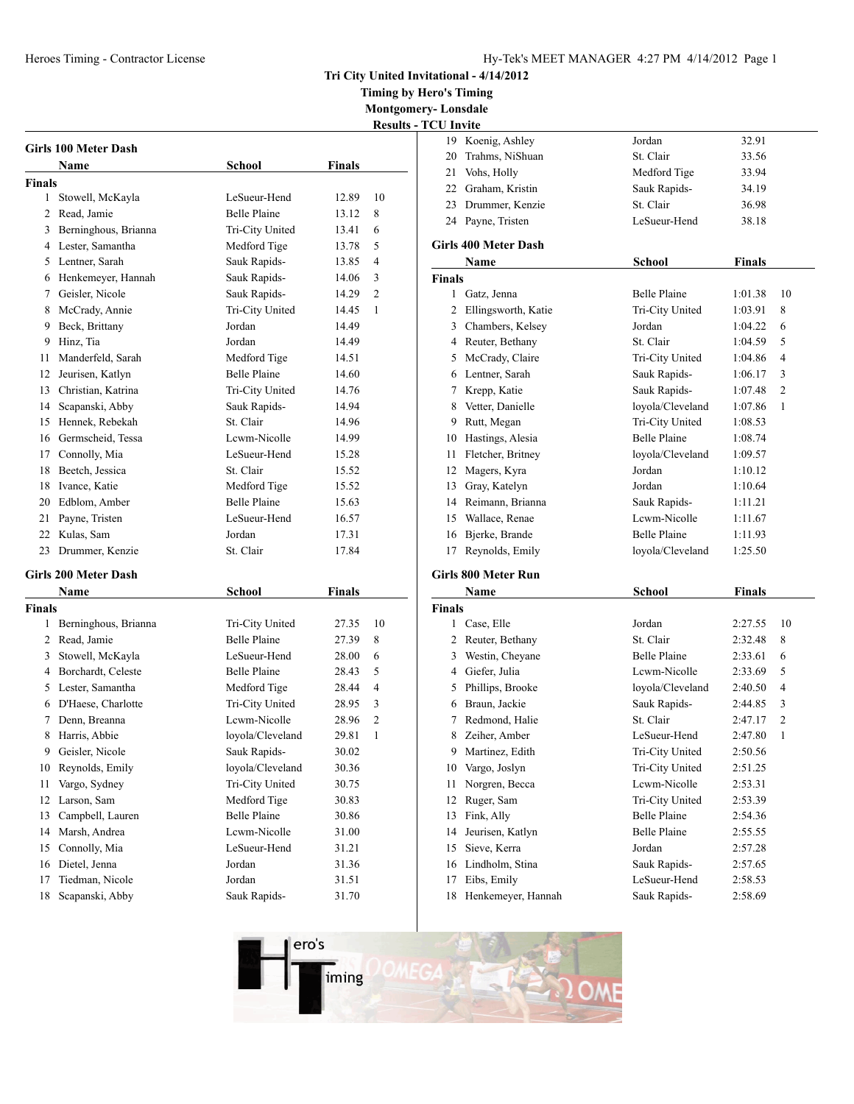## Hy-Tek's MEET MANAGER 4:27 PM 4/14/2012 Page 1

**Tri City United Invitational - 4/14/2012**

**Timing by Hero's Timing**

**Montgomery- Lonsdale Results - TCU Invite**

|                | Girls 100 Meter Dash        |                     |               |                |
|----------------|-----------------------------|---------------------|---------------|----------------|
|                | Name                        | School              | <b>Finals</b> |                |
| Finals         |                             |                     |               |                |
| 1              | Stowell, McKayla            | LeSueur-Hend        | 12.89         | 10             |
| $\overline{c}$ | Read. Jamie                 | <b>Belle Plaine</b> | 13.12         | 8              |
| 3              | Berninghous, Brianna        | Tri-City United     | 13.41         | 6              |
|                | 4 Lester, Samantha          | Medford Tige        | 13.78         | 5              |
|                | 5 Lentner, Sarah            | Sauk Rapids-        | 13.85         | 4              |
|                | 6 Henkemeyer, Hannah        | Sauk Rapids-        | 14.06         | 3              |
|                | 7 Geisler, Nicole           | Sauk Rapids-        | 14.29         | 2              |
| 8              | McCrady, Annie              | Tri-City United     | 14.45         | 1              |
| 9              | Beck, Brittany              | Jordan              | 14.49         |                |
| 9              | Hinz, Tia                   | Jordan              | 14.49         |                |
| 11             | Manderfeld, Sarah           | Medford Tige        | 14.51         |                |
| 12             | Jeurisen, Katlyn            | <b>Belle Plaine</b> | 14.60         |                |
| 13             | Christian, Katrina          | Tri-City United     | 14.76         |                |
| 14             | Scapanski, Abby             | Sauk Rapids-        | 14.94         |                |
| 15             | Hennek, Rebekah             | St. Clair           | 14.96         |                |
|                | 16 Germscheid, Tessa        | Lewm-Nicolle        | 14.99         |                |
|                | 17 Connolly, Mia            | LeSueur-Hend        | 15.28         |                |
| 18             | Beetch, Jessica             | St. Clair           | 15.52         |                |
| 18             | Ivance, Katie               | Medford Tige        | 15.52         |                |
| 20             | Edblom, Amber               | <b>Belle Plaine</b> | 15.63         |                |
| 21             | Payne, Tristen              | LeSueur-Hend        | 16.57         |                |
|                | 22 Kulas, Sam               | Jordan              | 17.31         |                |
|                | 23 Drummer, Kenzie          | St. Clair           | 17.84         |                |
|                | <b>Girls 200 Meter Dash</b> |                     |               |                |
|                | <b>Name</b>                 | <b>School</b>       | <b>Finals</b> |                |
| Finals         |                             |                     |               |                |
| 1              | Berninghous, Brianna        | Tri-City United     | 27.35         | 10             |
| 2              | Read, Jamie                 | <b>Belle Plaine</b> | 27.39         | 8              |
| 3              | Stowell, McKayla            | LeSueur-Hend        | 28.00         | 6              |
|                | 4 Borchardt, Celeste        | <b>Belle Plaine</b> | 28.43         | 5              |
|                | 5 Lester, Samantha          | Medford Tige        | 28.44         | $\overline{4}$ |
|                | 6 D'Haese, Charlotte        | Tri-City United     | 28.95         | 3              |
| 7              | Denn, Breanna               | Lewm-Nicolle        | 28.96         | 2              |
| 8              | Harris, Abbie               | lovola/Cleveland    | 29.81         | $\mathbf{1}$   |
| 9.             | Geisler, Nicole             | Sauk Rapids-        | 30.02         |                |
| 10             | Reynolds, Emily             | loyola/Cleveland    | 30.36         |                |
| 11             | Vargo, Sydney               | Tri-City United     | 30.75         |                |
| 12             | Larson, Sam                 | Medford Tige        | 30.83         |                |
| 13             | Campbell, Lauren            | <b>Belle Plaine</b> | 30.86         |                |
| 14             | Marsh, Andrea               | Lcwm-Nicolle        | 31.00         |                |
| 15             | Connolly, Mia               | LeSueur-Hend        | 31.21         |                |
| 16             | Dietel, Jenna               | Jordan              | 31.36         |                |
| 17             | Tiedman, Nicole             | Jordan              | 31.51         |                |
| 18             | Scapanski, Abby             | Sauk Rapids-        | 31.70         |                |

| <b>UU HIVIte</b> |                             |                     |               |                |
|------------------|-----------------------------|---------------------|---------------|----------------|
|                  | 19 Koenig, Ashley           | Jordan              | 32.91         |                |
|                  | 20 Trahms, NiShuan          | St. Clair           | 33.56         |                |
|                  | 21 Vohs, Holly              | Medford Tige        | 33.94         |                |
|                  | 22 Graham, Kristin          | Sauk Rapids-        | 34.19         |                |
|                  | 23 Drummer, Kenzie          | St. Clair           | 36.98         |                |
|                  | 24 Payne, Tristen           | LeSueur-Hend        | 38.18         |                |
|                  | <b>Girls 400 Meter Dash</b> |                     |               |                |
|                  |                             |                     |               |                |
|                  | Name                        | <b>School</b>       | <b>Finals</b> |                |
| <b>Finals</b>    |                             | <b>Belle Plaine</b> |               |                |
|                  | 1 Gatz, Jenna               |                     | 1:01.38       | 10<br>8        |
|                  | 2 Ellingsworth, Katie       | Tri-City United     | 1:03.91       |                |
|                  | 3 Chambers, Kelsey          | Jordan              | 1:04.22       | 6              |
|                  | 4 Reuter, Bethany           | St. Clair           | 1:04.59       | 5              |
|                  | 5 McCrady, Claire           | Tri-City United     | 1:04.86       | 4              |
| 6                | Lentner, Sarah              | Sauk Rapids-        | 1:06.17       | 3              |
| 7                | Krepp, Katie                | Sauk Rapids-        | 1:07.48       | $\overline{2}$ |
| 8                | Vetter, Danielle            | loyola/Cleveland    | 1:07.86       | 1              |
| 9                | Rutt, Megan                 | Tri-City United     | 1:08.53       |                |
|                  | 10 Hastings, Alesia         | <b>Belle Plaine</b> | 1:08.74       |                |
|                  | 11 Fletcher, Britney        | loyola/Cleveland    | 1:09.57       |                |
|                  | 12 Magers, Kyra             | Jordan              | 1:10.12       |                |
|                  | 13 Gray, Katelyn            | Jordan              | 1:10.64       |                |
|                  | 14 Reimann, Brianna         | Sauk Rapids-        | 1:11.21       |                |
|                  | 15 Wallace, Renae           | Lcwm-Nicolle        | 1:11.67       |                |
|                  | 16 Bjerke, Brande           | <b>Belle Plaine</b> | 1:11.93       |                |
| 17               | Reynolds, Emily             | loyola/Cleveland    | 1:25.50       |                |
|                  | Girls 800 Meter Run         |                     |               |                |
|                  | Name                        | School              | <b>Finals</b> |                |
| <b>Finals</b>    |                             |                     |               |                |
|                  | 1 Case, Elle                | Jordan              | 2:27.55       | 10             |
|                  | 2 Reuter, Bethany           | St. Clair           | 2:32.48       | 8              |
| 3                | Westin, Cheyane             | <b>Belle Plaine</b> | 2:33.61       | 6              |
|                  | 4 Giefer, Julia             | Lcwm-Nicolle        | 2:33.69       | 5              |
|                  | 5 Phillips, Brooke          | loyola/Cleveland    | 2:40.50       | 4              |
| 6                | Braun, Jackie               | Sauk Rapids-        | 2:44.85       | 3              |
| 7                | Redmond, Halie              | St. Clair           | 2:47.17       | $\overline{2}$ |
| 8                | Zeiher, Amber               | LeSueur-Hend        | 2:47.80       | 1              |
|                  | 9 Martinez, Edith           | Tri-City United     | 2:50.56       |                |
|                  | 10 Vargo, Joslyn            | Tri-City United     | 2:51.25       |                |
| 11               | Norgren, Becca              | Lewm-Nicolle        | 2:53.31       |                |
|                  | 12 Ruger, Sam               | Tri-City United     | 2:53.39       |                |
| 13               | Fink, Ally                  | <b>Belle Plaine</b> | 2:54.36       |                |
| 14               | Jeurisen, Katlyn            | <b>Belle Plaine</b> | 2:55.55       |                |
| 15               |                             | Jordan              |               |                |
|                  | Sieve, Kerra                |                     | 2:57.28       |                |

Lindholm, Stina Sauk Rapids- 2:57.65

17 Eibs, Emily LeSueur-Hend 2:58.53

Henkemeyer, Hannah Sauk Rapids- 2:58.69

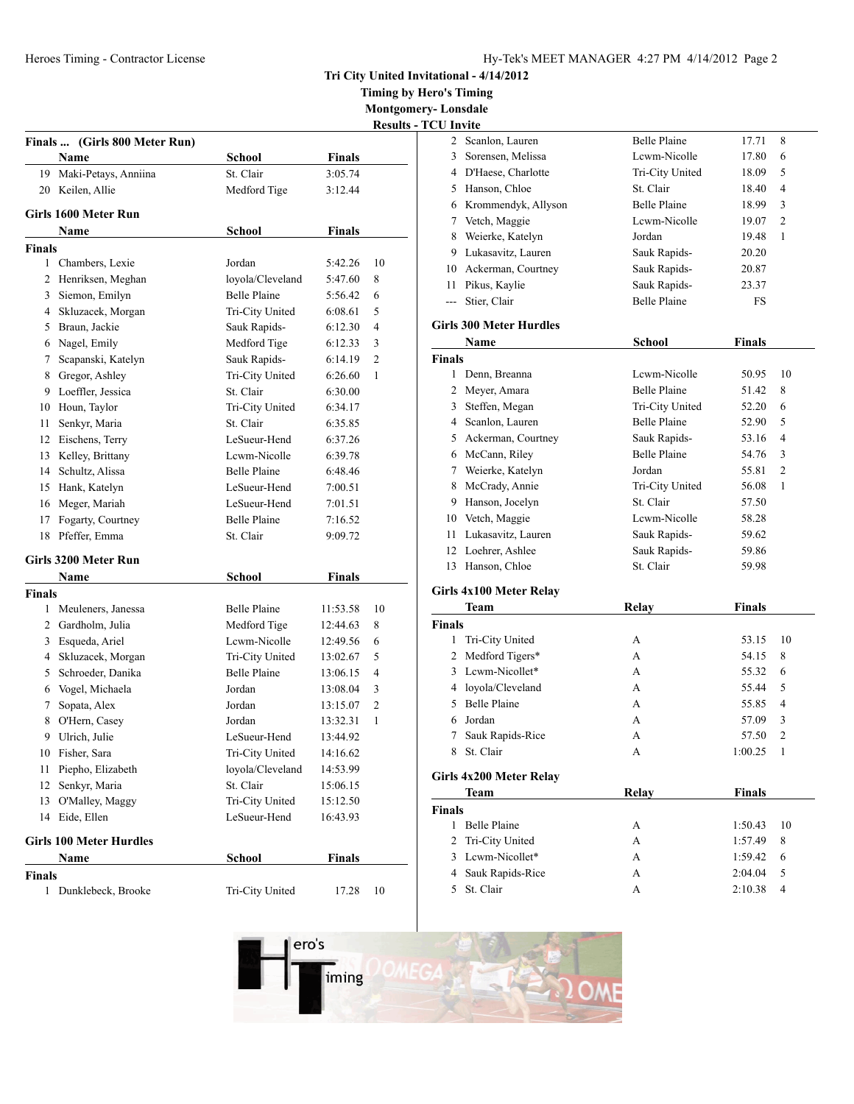**Tri City United Invitational - 4/14/2012**

**Timing by Hero's Timing**

**Montgomery- Lonsdale Results - TCU Invite**

|               | Finals  (Girls 800 Meter Run)  |                     |               | nosan.         |
|---------------|--------------------------------|---------------------|---------------|----------------|
|               | <b>Name</b>                    | <b>School</b>       | <b>Finals</b> |                |
| 19            | Maki-Petays, Anniina           | St. Clair           | 3:05.74       |                |
| 20            | Keilen, Allie                  | Medford Tige        | 3:12.44       |                |
|               | Girls 1600 Meter Run           |                     |               |                |
|               | Name                           | <b>School</b>       | <b>Finals</b> |                |
| <b>Finals</b> |                                |                     |               |                |
| 1             | Chambers, Lexie                | Jordan              | 5:42.26       | 10             |
|               | 2 Henriksen, Meghan            | loyola/Cleveland    | 5:47.60       | 8              |
|               | 3 Siemon, Emilyn               | <b>Belle Plaine</b> | 5:56.42       | 6              |
|               | 4 Skluzacek, Morgan            | Tri-City United     | 6:08.61       | 5              |
| 5             | Braun, Jackie                  | Sauk Rapids-        | 6:12.30       | 4              |
|               | 6 Nagel, Emily                 | Medford Tige        | 6:12.33       | 3              |
| 7             | Scapanski, Katelyn             | Sauk Rapids-        | 6:14.19       | $\overline{c}$ |
| 8             | Gregor, Ashley                 | Tri-City United     | 6:26.60       | 1              |
| 9             | Loeffler, Jessica              | St. Clair           | 6:30.00       |                |
| 10            | Houn, Taylor                   | Tri-City United     | 6:34.17       |                |
| 11            | Senkyr, Maria                  | St. Clair           | 6:35.85       |                |
| 12            | Eischens, Terry                | LeSueur-Hend        | 6:37.26       |                |
| 13            | Kelley, Brittany               | Lewm-Nicolle        | 6:39.78       |                |
| 14            | Schultz, Alissa                | <b>Belle Plaine</b> | 6:48.46       |                |
| 15            | Hank, Katelyn                  | LeSueur-Hend        | 7:00.51       |                |
| 16            | Meger, Mariah                  | LeSueur-Hend        | 7:01.51       |                |
| 17            | Fogarty, Courtney              | <b>Belle Plaine</b> | 7:16.52       |                |
| 18            | Pfeffer, Emma                  | St. Clair           | 9:09.72       |                |
|               | Girls 3200 Meter Run           |                     |               |                |
|               | Name                           | School              | <b>Finals</b> |                |
| <b>Finals</b> |                                |                     |               |                |
|               | 1 Meuleners, Janessa           | <b>Belle Plaine</b> | 11:53.58      | 10             |
|               | 2 Gardholm, Julia              | Medford Tige        | 12:44.63      | 8              |
| 3             | Esqueda, Ariel                 | Lewm-Nicolle        | 12:49.56      | 6              |
| 4             | Skluzacek, Morgan              | Tri-City United     | 13:02.67      | 5              |
| 5             | Schroeder, Danika              | <b>Belle Plaine</b> | 13:06.15      | 4              |
|               | 6 Vogel, Michaela              | Jordan              | 13:08.04      | 3              |
| 7             | Sopata, Alex                   | Jordan              | 13:15.07      | $\overline{c}$ |
| 8             | O'Hern, Casey                  | Jordan              | 13:32.31      | 1              |
| 9             | Ulrich, Julie                  | LeSueur-Hend        | 13:44.92      |                |
|               | 10 Fisher, Sara                | Tri-City United     | 14:16.62      |                |
| 11            | Piepho, Elizabeth              | lovola/Cleveland    | 14:53.99      |                |
| 12            | Senkyr, Maria                  | St. Clair           | 15:06.15      |                |
| 13            | O'Malley, Maggy                | Tri-City United     | 15:12.50      |                |
| 14            | Eide, Ellen                    | LeSueur-Hend        | 16:43.93      |                |
|               | <b>Girls 100 Meter Hurdles</b> |                     |               |                |
|               | Name                           | <b>School</b>       | <b>Finals</b> |                |
| <b>Finals</b> |                                |                     |               |                |
| 1             | Dunklebeck, Brooke             | Tri-City United     | 17.28         | 10             |

| 2              | Scanlon, Lauren                        | <b>Belle Plaine</b> | 17.71         | 8              |
|----------------|----------------------------------------|---------------------|---------------|----------------|
|                | 3 Sorensen, Melissa                    | Lcwm-Nicolle        | 17.80         | 6              |
|                | 4 D'Haese, Charlotte                   | Tri-City United     | 18.09         | 5              |
|                | 5 Hanson, Chloe                        | St. Clair           | 18.40         | 4              |
|                | 6 Krommendyk, Allyson                  | <b>Belle Plaine</b> | 18.99         | 3              |
|                | 7 Vetch, Maggie                        | Lewm-Nicolle        | 19.07         | $\overline{2}$ |
|                | 8 Weierke, Katelyn                     | Jordan              | 19.48         | 1              |
|                | 9 Lukasavitz, Lauren                   | Sauk Rapids-        | 20.20         |                |
|                | 10 Ackerman, Courtney                  | Sauk Rapids-        | 20.87         |                |
|                | 11 Pikus, Kaylie                       | Sauk Rapids-        | 23.37         |                |
| $\overline{a}$ | Stier, Clair                           | <b>Belle Plaine</b> | FS            |                |
|                | <b>Girls 300 Meter Hurdles</b>         |                     |               |                |
|                | Name                                   | <b>School</b>       | <b>Finals</b> |                |
| <b>Finals</b>  |                                        |                     |               |                |
|                | 1 Denn, Breanna                        | Lcwm-Nicolle        | 50.95         | 10             |
|                | 2 Meyer, Amara                         | <b>Belle Plaine</b> | 51.42         | 8              |
|                | 3 Steffen, Megan                       | Tri-City United     | 52.20         | 6              |
|                | 4 Scanlon, Lauren                      | <b>Belle Plaine</b> | 52.90         | 5              |
|                | 5 Ackerman, Courtney                   | Sauk Rapids-        | 53.16         | 4              |
|                | 6 McCann, Riley                        | <b>Belle Plaine</b> | 54.76         | 3              |
|                | 7 Weierke, Katelyn                     | Jordan              | 55.81         | $\overline{2}$ |
|                | 8 McCrady, Annie                       | Tri-City United     | 56.08         | 1              |
|                | 9 Hanson, Jocelyn                      | St. Clair           | 57.50         |                |
|                | 10 Vetch, Maggie                       | Lewm-Nicolle        | 58.28         |                |
| 11             | Lukasavitz, Lauren                     | Sauk Rapids-        | 59.62         |                |
|                | 12 Loehrer, Ashlee                     | Sauk Rapids-        | 59.86         |                |
|                | 13 Hanson, Chloe                       | St. Clair           | 59.98         |                |
|                | Girls 4x100 Meter Relay                |                     |               |                |
|                | Team                                   | <b>Relay</b>        | <b>Finals</b> |                |
| <b>Finals</b>  |                                        |                     |               |                |
| 1              | Tri-City United                        | А                   | 53.15         | 10             |
|                | 2 Medford Tigers*                      | A                   | 54.15         | 8              |
|                | 3 Lewm-Nicollet*                       | A                   | 55.32         | 6              |
|                | 4 loyola/Cleveland                     | A                   | 55.44         | 5              |
|                | 5 Belle Plaine                         | A                   | 55.85         | $\overline{4}$ |
| 6              | Jordan                                 | A                   | 57.09         | 3              |
| 7              | Sauk Rapids-Rice                       | А                   | 57.50         | $\overline{2}$ |
| 8              | St. Clair                              | A                   | 1:00.25       | 1              |
|                |                                        |                     |               |                |
|                | Girls 4x200 Meter Relay<br><b>Team</b> | <b>Relay</b>        | <b>Finals</b> |                |
| <b>Finals</b>  |                                        |                     |               |                |
| $\mathbf{1}$   | <b>Belle Plaine</b>                    | А                   | 1:50.43       | 10             |
| 2              | Tri-City United                        | А                   | 1:57.49       | 8              |
| 3              | Lcwm-Nicollet*                         | A                   | 1:59.42       | 6              |
| 4              | Sauk Rapids-Rice                       | A                   | 2:04.04       | 5              |
|                |                                        |                     |               |                |

St. Clair A 2:10.38 4

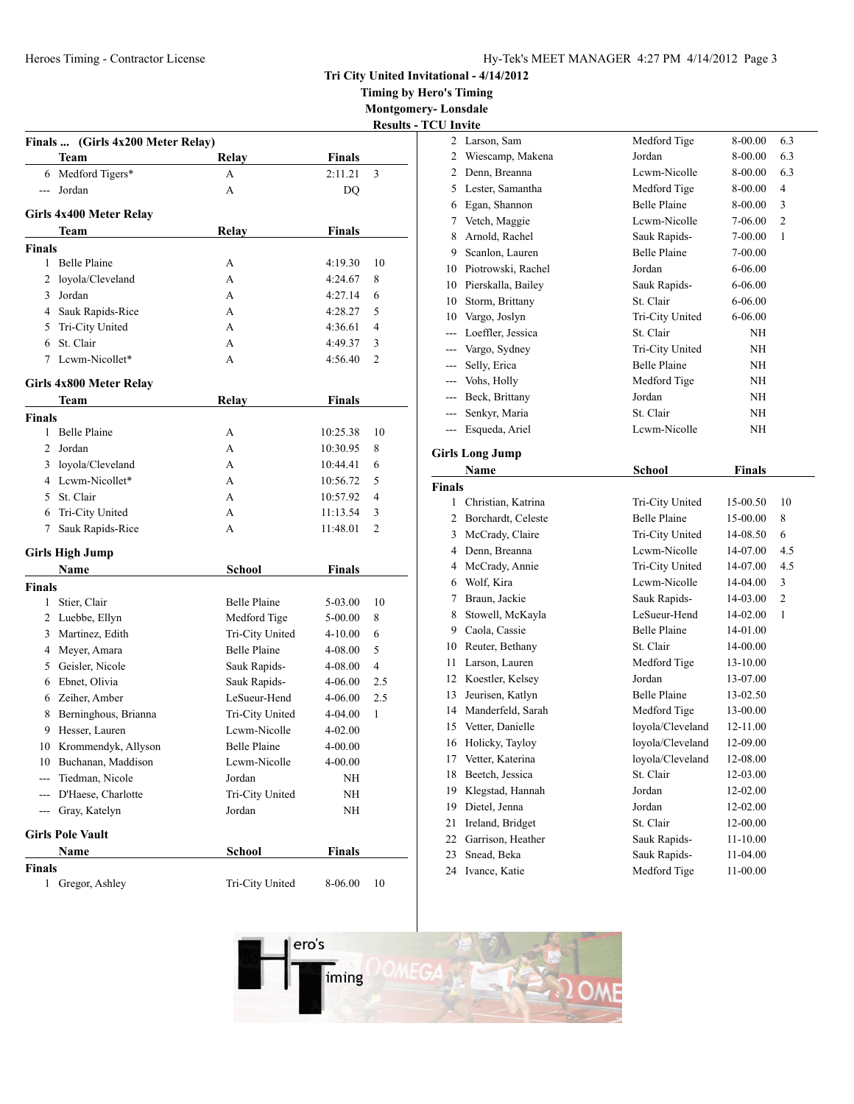Heroes Timing - Contractor License

| Hy-Tek's MEET MANAGER 4:27 PM 4/14/2012 Page 3 |  |  |  |
|------------------------------------------------|--|--|--|
|------------------------------------------------|--|--|--|

**Tri City United Invitational - 4/14/2012**

**Timing by Hero's Timing**

**Montgomery- Lonsdale Results** - TCU Invite

|               |                                   |                     |               | <b>Results</b> - |
|---------------|-----------------------------------|---------------------|---------------|------------------|
|               | Finals  (Girls 4x200 Meter Relay) |                     |               |                  |
|               | Team                              | <b>Relay</b>        | <b>Finals</b> |                  |
|               | 6 Medford Tigers*                 | A                   | 2:11.21       | 3                |
|               | Jordan                            | А                   | DQ            |                  |
|               | Girls 4x400 Meter Relay           |                     |               |                  |
|               | Team                              | Relay               | <b>Finals</b> |                  |
| <b>Finals</b> |                                   |                     |               |                  |
| 1             | Belle Plaine                      | А                   | 4:19.30       | 10               |
| 2             | lovola/Cleveland                  | A                   | 4:24.67       | 8                |
| 3             | Jordan                            | A                   | 4:27.14       | 6                |
|               | 4 Sauk Rapids-Rice                | A                   | 4:28.27       | 5                |
| 5.            | Tri-City United                   | A                   | 4:36.61       | 4                |
|               | 6 St. Clair                       | A                   | 4:49.37       | 3                |
| 7             | Lcwm-Nicollet*                    | А                   | 4:56.40       | $\overline{2}$   |
|               | Girls 4x800 Meter Relay           |                     |               |                  |
|               | Team                              | Relay               | <b>Finals</b> |                  |
| <b>Finals</b> |                                   |                     |               |                  |
| 1             | <b>Belle Plaine</b>               | А                   | 10:25.38      | 10               |
| 2             | Jordan                            | A                   | 10:30.95      | 8                |
|               | 3 loyola/Cleveland                | A                   | 10:44.41      | 6                |
|               | 4 Lewm-Nicollet*                  | А                   | 10:56.72      | 5                |
|               | 5 St. Clair                       | A                   | 10:57.92      | 4                |
| 6             | Tri-City United                   | A                   | 11:13.54      | 3                |
| 7             | Sauk Rapids-Rice                  | А                   | 11:48.01      | 2                |
|               | <b>Girls High Jump</b>            |                     |               |                  |
|               | Name                              | <b>School</b>       | <b>Finals</b> |                  |
| <b>Finals</b> |                                   |                     |               |                  |
| 1             | Stier, Clair                      | Belle Plaine        | 5-03.00       | 10               |
|               | 2 Luebbe, Ellyn                   | Medford Tige        | 5-00.00       | 8                |
| 3             | Martinez, Edith                   | Tri-City United     | 4-10.00       | 6                |
| 4             | Meyer, Amara                      | Belle Plaine        | 4-08.00       | 5                |
|               | 5 Geisler, Nicole                 | Sauk Rapids-        | 4-08.00       | 4                |
|               | 6 Ebnet, Olivia                   | Sauk Rapids-        | 4-06.00       | 2.5              |
|               | 6 Zeiher, Amber                   | LeSueur-Hend        | 4-06.00       | 2.5              |
| 8             | Berninghous, Brianna              | Tri-City United     | 4-04.00       | 1                |
| 9             | Hesser, Lauren                    | Lcwm-Nicolle        | 4-02.00       |                  |
|               | 10 Krommendyk, Allyson            | <b>Belle Plaine</b> | 4-00.00       |                  |
|               | 10 Buchanan, Maddison             | Lcwm-Nicolle        | $4 - 00.00$   |                  |
|               | --- Tiedman, Nicole               | Jordan              | NH            |                  |
|               | --- D'Haese, Charlotte            | Tri-City United     | NΗ            |                  |
|               | --- Gray, Katelyn                 | Jordan              | NΗ            |                  |
|               | <b>Girls Pole Vault</b>           |                     |               |                  |
|               | Name                              | <b>School</b>       | <b>Finals</b> |                  |
| <b>Finals</b> |                                   |                     |               |                  |
| 1             | Gregor, Ashley                    | Tri-City United     | 8-06.00       | 10               |
|               |                                   |                     |               |                  |

| <b>CU</b> Invite |                              |                              |                      |     |
|------------------|------------------------------|------------------------------|----------------------|-----|
| 2                | Larson, Sam                  | Medford Tige                 | 8-00.00              | 6.3 |
| 2                | Wiescamp, Makena             | Jordan                       | 8-00.00              | 6.3 |
| 2                | Denn, Breanna                | Lewm-Nicolle                 | 8-00.00              | 6.3 |
| 5                | Lester, Samantha             | Medford Tige                 | 8-00.00              | 4   |
|                  | 6 Egan, Shannon              | <b>Belle Plaine</b>          | 8-00.00              | 3   |
| 7                | Vetch, Maggie                | Lewm-Nicolle                 | 7-06.00              | 2   |
| 8                | Arnold, Rachel               | Sauk Rapids-                 | 7-00.00              | 1   |
| 9                | Scanlon, Lauren              | <b>Belle Plaine</b>          | 7-00.00              |     |
| 10               | Piotrowski, Rachel           | Jordan                       | 6-06.00              |     |
|                  | 10 Pierskalla, Bailey        | Sauk Rapids-                 | 6-06.00              |     |
|                  | 10 Storm, Brittany           | St. Clair                    | 6-06.00              |     |
|                  | 10 Vargo, Joslyn             | Tri-City United              | 6-06.00              |     |
|                  | --- Loeffler, Jessica        | St. Clair                    | ΝH                   |     |
|                  | --- Vargo, Sydney            | Tri-City United              | ΝH                   |     |
|                  | --- Selly, Erica             | <b>Belle Plaine</b>          | ΝH                   |     |
|                  | --- Vohs, Holly              | Medford Tige                 | ΝH                   |     |
| ---              | Beck, Brittany               | Jordan                       | NΗ                   |     |
|                  | --- Senkyr, Maria            | St. Clair                    | NΗ                   |     |
|                  | --- Esqueda, Ariel           | Lewm-Nicolle                 | NH                   |     |
|                  | <b>Girls Long Jump</b>       |                              |                      |     |
|                  | Name                         | <b>School</b>                | Finals               |     |
| <b>Finals</b>    |                              |                              |                      |     |
| 1                | Christian, Katrina           | Tri-City United              | 15-00.50             | 10  |
| 2                | Borchardt, Celeste           | <b>Belle Plaine</b>          | 15-00.00             | 8   |
| 3                | McCrady, Claire              | Tri-City United              | 14-08.50             | 6   |
| 4                | Denn, Breanna                | Lcwm-Nicolle                 | 14-07.00             | 4.5 |
| 4                | McCrady, Annie               | Tri-City United              | 14-07.00             | 4.5 |
|                  | 6 Wolf, Kira                 | Lewm-Nicolle                 | 14-04.00             | 3   |
| 7                | Braun, Jackie                | Sauk Rapids-                 | 14-03.00             | 2   |
| 8                | Stowell, McKayla             | LeSueur-Hend                 | 14-02.00             | 1   |
| 9                | Caola, Cassie                | <b>Belle Plaine</b>          | 14-01.00             |     |
| 10               | Reuter, Bethany              | St. Clair                    | 14-00.00             |     |
| 11               | Larson, Lauren               | Medford Tige                 | 13-10.00             |     |
|                  | 12 Koestler, Kelsey          | Jordan                       | 13-07.00             |     |
| 13               | Jeurisen, Katlyn             | <b>Belle Plaine</b>          | 13-02.50             |     |
|                  | 14 Manderfeld, Sarah         | Medford Tige                 | 13-00.00             |     |
|                  | 15 Vetter, Danielle          | loyola/Cleveland             | 12-11.00             |     |
| 16               | Holicky, Tayloy              | loyola/Cleveland             | 12-09.00             |     |
| 17               | Vetter, Katerina             | loyola/Cleveland             | 12-08.00             |     |
| 18               |                              |                              |                      |     |
|                  | Beetch, Jessica              | St. Clair                    | 12-03.00             |     |
| 19               | Klegstad, Hannah             | Jordan                       | 12-02.00             |     |
| 19               | Dietel, Jenna                | Jordan                       | 12-02.00             |     |
| 21               | Ireland, Bridget             | St. Clair                    | 12-00.00             |     |
| 22               | Garrison, Heather            | Sauk Rapids-                 | 11-10.00             |     |
| 23<br>24         | Snead, Beka<br>Ivance, Katie | Sauk Rapids-<br>Medford Tige | 11-04.00<br>11-00.00 |     |

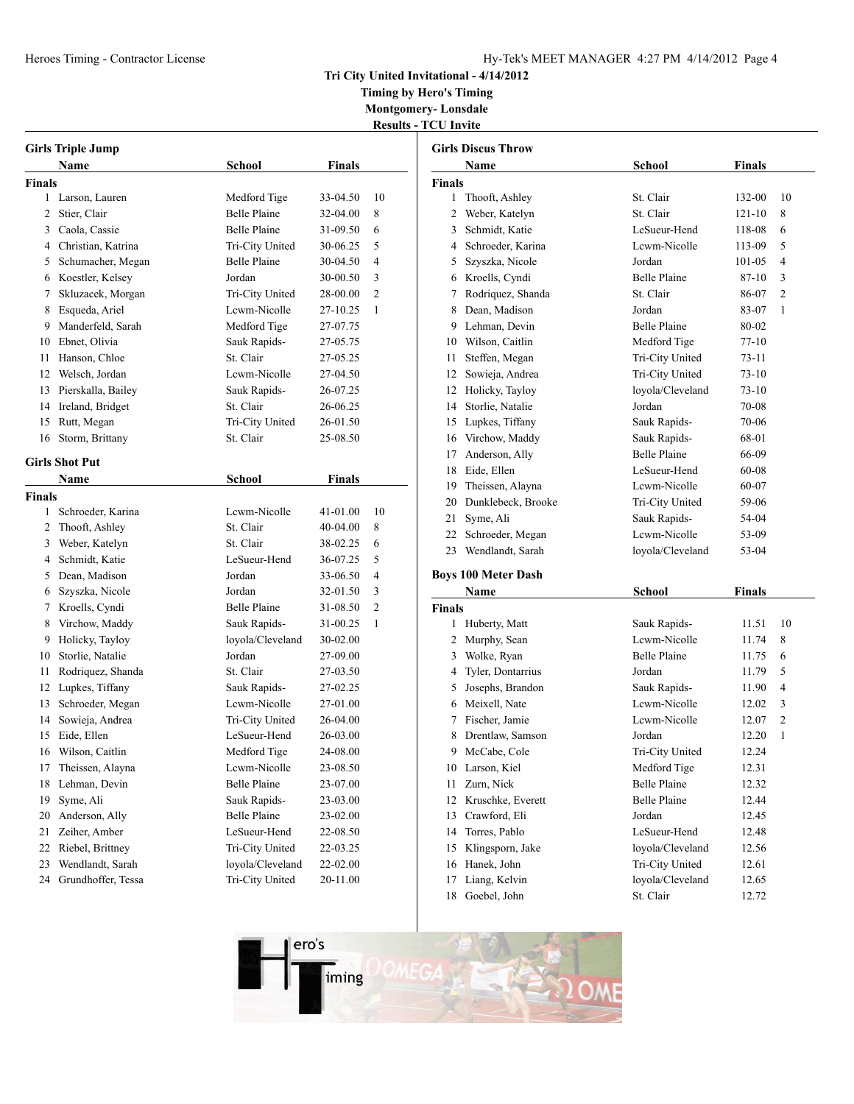## **Tri City United Invitational - 4/14/2012**

**Timing by Hero's Timing Montgomery- Lonsdale**

**Results - TCU Invite**

|               | <b>Girls Triple Jump</b> |                     |          |                |  |
|---------------|--------------------------|---------------------|----------|----------------|--|
|               | Name                     | <b>School</b>       | Finals   |                |  |
| <b>Finals</b> |                          |                     |          |                |  |
| 1             | Larson, Lauren           | Medford Tige        | 33-04.50 | 10             |  |
|               | 2 Stier, Clair           | <b>Belle Plaine</b> | 32-04.00 | 8              |  |
|               | 3 Caola, Cassie          | <b>Belle Plaine</b> | 31-09.50 | 6              |  |
|               | 4 Christian, Katrina     | Tri-City United     | 30-06.25 | 5              |  |
| 5             | Schumacher, Megan        | <b>Belle Plaine</b> | 30-04.50 | 4              |  |
|               | 6 Koestler, Kelsey       | Jordan              | 30-00.50 | 3              |  |
| 7             | Skluzacek, Morgan        | Tri-City United     | 28-00.00 | $\overline{c}$ |  |
| 8             | Esqueda, Ariel           | Lcwm-Nicolle        | 27-10.25 | 1              |  |
| 9.            | Manderfeld, Sarah        | Medford Tige        | 27-07.75 |                |  |
| 10            | Ebnet, Olivia            | Sauk Rapids-        | 27-05.75 |                |  |
| 11            | Hanson, Chloe            | St. Clair           | 27-05.25 |                |  |
|               | 12 Welsch, Jordan        | Lcwm-Nicolle        | 27-04.50 |                |  |
| 13            | Pierskalla, Bailey       | Sauk Rapids-        | 26-07.25 |                |  |
|               | 14 Ireland, Bridget      | St. Clair           | 26-06.25 |                |  |
| 15            | Rutt, Megan              | Tri-City United     | 26-01.50 |                |  |
| 16            | Storm, Brittany          | St. Clair           | 25-08.50 |                |  |
|               |                          |                     |          |                |  |
|               | <b>Girls Shot Put</b>    |                     |          |                |  |
|               | Name                     | School              | Finals   |                |  |
| Finals        |                          |                     |          |                |  |
| 1             | Schroeder, Karina        | Lewm-Nicolle        | 41-01.00 | 10             |  |
| 2             | Thooft, Ashley           | St. Clair           | 40-04.00 | 8              |  |
| 3             | Weber, Katelyn           | St. Clair           | 38-02.25 | 6              |  |
|               | 4 Schmidt, Katie         | LeSueur-Hend        | 36-07.25 | 5              |  |
|               | 5 Dean, Madison          | Jordan              | 33-06.50 | 4              |  |
|               | 6 Szyszka, Nicole        | Jordan              | 32-01.50 | 3              |  |
|               | 7 Kroells, Cyndi         | <b>Belle Plaine</b> | 31-08.50 | $\overline{c}$ |  |
|               | 8 Virchow, Maddy         | Sauk Rapids-        | 31-00.25 | 1              |  |
| 9.            | Holicky, Tayloy          | loyola/Cleveland    | 30-02.00 |                |  |
| 10            | Storlie, Natalie         | Jordan              | 27-09.00 |                |  |
| 11            | Rodriquez, Shanda        | St. Clair           | 27-03.50 |                |  |
| 12            | Lupkes, Tiffany          | Sauk Rapids-        | 27-02.25 |                |  |
| 13            | Schroeder, Megan         | Lcwm-Nicolle        | 27-01.00 |                |  |
| 14            | Sowieja, Andrea          | Tri-City United     | 26-04.00 |                |  |
| 15            | Eide, Ellen              | LeSueur-Hend        | 26-03.00 |                |  |
| 16            | Wilson, Caitlin          | Medford Tige        | 24-08.00 |                |  |
| 17            | Theissen, Alayna         | Lcwm-Nicolle        | 23-08.50 |                |  |
| 18            | Lehman, Devin            | <b>Belle Plaine</b> | 23-07.00 |                |  |
| 19            | Syme, Ali                | Sauk Rapids-        | 23-03.00 |                |  |
| 20            | Anderson, Ally           | <b>Belle Plaine</b> | 23-02.00 |                |  |
| 21            | Zeiher, Amber            | LeSueur-Hend        | 22-08.50 |                |  |
| 22            | Riebel, Brittney         | Tri-City United     | 22-03.25 |                |  |
| 23            | Wendlandt, Sarah         | loyola/Cleveland    | 22-02.00 |                |  |
| 24            | Grundhoffer, Tessa       | Tri-City United     | 20-11.00 |                |  |

|                | <b>Girls Discus Throw</b>  |                     |               |                |
|----------------|----------------------------|---------------------|---------------|----------------|
|                | <b>Name</b>                | School              | Finals        |                |
| <b>Finals</b>  |                            |                     |               |                |
| 1              | Thooft, Ashley             | St. Clair           | 132-00        | 10             |
| 2              | Weber, Katelyn             | St. Clair           | $121 - 10$    | 8              |
|                | 3 Schmidt, Katie           | LeSueur-Hend        | 118-08        | 6              |
| $\overline{4}$ | Schroeder, Karina          | Lcwm-Nicolle        | 113-09        | 5              |
| 5              | Szyszka, Nicole            | Jordan              | 101-05        | 4              |
|                | 6 Kroells, Cyndi           | <b>Belle Plaine</b> | 87-10         | 3              |
| 7              | Rodriquez, Shanda          | St. Clair           | 86-07         | $\overline{2}$ |
|                | 8 Dean, Madison            | Jordan              | 83-07         | 1              |
|                | 9 Lehman, Devin            | <b>Belle Plaine</b> | 80-02         |                |
|                | 10 Wilson, Caitlin         | Medford Tige        | $77 - 10$     |                |
| 11             | Steffen, Megan             | Tri-City United     | 73-11         |                |
| 12             | Sowieja, Andrea            | Tri-City United     | $73-10$       |                |
| 12             | Holicky, Tayloy            | loyola/Cleveland    | $73-10$       |                |
| 14             | Storlie, Natalie           | Jordan              | 70-08         |                |
|                | 15 Lupkes, Tiffany         | Sauk Rapids-        | 70-06         |                |
|                | 16 Virchow, Maddy          | Sauk Rapids-        | 68-01         |                |
| 17             | Anderson, Ally             | <b>Belle Plaine</b> | 66-09         |                |
|                | 18 Eide, Ellen             | LeSueur-Hend        | 60-08         |                |
| 19             | Theissen, Alayna           | Lewm-Nicolle        | 60-07         |                |
|                | 20 Dunklebeck, Brooke      | Tri-City United     | 59-06         |                |
| 21             | Syme, Ali                  | Sauk Rapids-        | 54-04         |                |
| 22             | Schroeder, Megan           | Lewm-Nicolle        | 53-09         |                |
| 23             | Wendlandt, Sarah           | loyola/Cleveland    | 53-04         |                |
|                | <b>Boys 100 Meter Dash</b> |                     |               |                |
|                | Name                       | School              | <b>Finals</b> |                |
| <b>Finals</b>  |                            |                     |               |                |
| 1              | Huberty, Matt              | Sauk Rapids-        | 11.51         | 10             |
|                | 2 Murphy, Sean             | Lewm-Nicolle        | 11.74         | 8              |
| 3              | Wolke, Ryan                | <b>Belle Plaine</b> | 11.75         | 6              |
| 4              | Tyler, Dontarrius          | Jordan              | 11.79         | 5              |
| 5.             | Josephs, Brandon           | Sauk Rapids-        | 11.90         | $\overline{4}$ |
|                | 6 Meixell, Nate            | Lewm-Nicolle        | 12.02         | 3              |
|                | 7 Fischer, Jamie           | Lcwm-Nicolle        | 12.07         | $\overline{2}$ |
| 8              | Drentlaw, Samson           | Jordan              | 12.20         | 1              |
| 9              | McCabe, Cole               | Tri-City United     | 12.24         |                |
| 10             | Larson, Kiel               | Medford Tige        | 12.31         |                |
| 11             | Zurn, Nick                 | <b>Belle Plaine</b> | 12.32         |                |

12 Kruschke, Everett Belle Plaine 12.44 Crawford, Eli Jordan 12.45 Torres, Pablo LeSueur-Hend 12.48 Klingsporn, Jake loyola/Cleveland 12.56 16 Hanek, John Tri-City United 12.61 Liang, Kelvin loyola/Cleveland 12.65 18 Goebel, John St. Clair 12.72

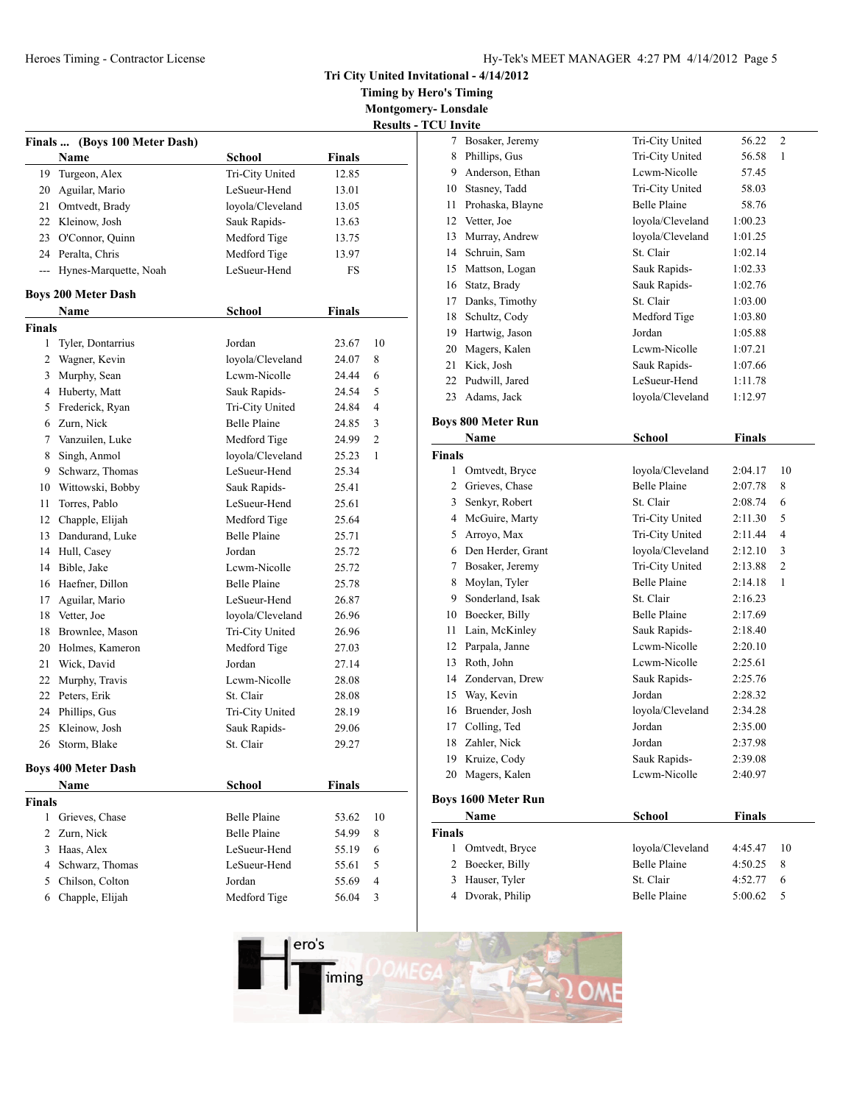**Tri City United Invitational - 4/14/2012**

**Timing by Hero's Timing Montgomery- Lonsdale**

<u>**Results**</u>

|                    |                            |                     |               | Results        |
|--------------------|----------------------------|---------------------|---------------|----------------|
| <b>Finals</b>      | (Boys 100 Meter Dash)      |                     |               |                |
|                    | Name                       | School              | <b>Finals</b> |                |
| 19                 | Turgeon, Alex              | Tri-City United     | 12.85         |                |
|                    | 20 Aguilar, Mario          | LeSueur-Hend        | 13.01         |                |
|                    | 21 Omtvedt, Brady          | loyola/Cleveland    | 13.05         |                |
|                    | 22 Kleinow, Josh           | Sauk Rapids-        | 13.63         |                |
|                    | 23 O'Connor, Quinn         | Medford Tige        | 13.75         |                |
|                    | 24 Peralta, Chris          | Medford Tige        | 13.97         |                |
| $---$              | Hynes-Marquette, Noah      | LeSueur-Hend        | FS            |                |
|                    | <b>Boys 200 Meter Dash</b> |                     |               |                |
|                    | Name                       | <b>School</b>       | <b>Finals</b> |                |
| <b>Finals</b>      |                            |                     |               |                |
| 1                  | Tyler, Dontarrius          | Jordan              | 23.67         | 10             |
|                    | 2 Wagner, Kevin            | loyola/Cleveland    | 24.07         | 8              |
|                    | 3 Murphy, Sean             | Lewm-Nicolle        | 24.44         | 6              |
|                    | 4 Huberty, Matt            | Sauk Rapids-        | 24.54         | 5              |
|                    | 5 Frederick, Ryan          | Tri-City United     | 24.84         | $\overline{4}$ |
|                    | 6 Zurn, Nick               | <b>Belle Plaine</b> | 24.85         | 3              |
|                    | 7 Vanzuilen, Luke          | Medford Tige        | 24.99         | $\overline{2}$ |
| 8                  | Singh, Anmol               | loyola/Cleveland    | 25.23         | $\mathbf{1}$   |
| 9.                 | Schwarz, Thomas            | LeSueur-Hend        | 25.34         |                |
|                    | 10 Wittowski, Bobby        | Sauk Rapids-        | 25.41         |                |
| 11                 | Torres, Pablo              | LeSueur-Hend        | 25.61         |                |
|                    | 12 Chapple, Elijah         | Medford Tige        | 25.64         |                |
|                    | 13 Dandurand, Luke         | <b>Belle Plaine</b> | 25.71         |                |
|                    | 14 Hull, Casey             | Jordan              | 25.72         |                |
|                    | 14 Bible, Jake             | Lewm-Nicolle        | 25.72         |                |
|                    | 16 Haefner, Dillon         | <b>Belle Plaine</b> | 25.78         |                |
| 17                 | Aguilar, Mario             | LeSueur-Hend        | 26.87         |                |
|                    | 18 Vetter, Joe             | loyola/Cleveland    | 26.96         |                |
| 18                 | Brownlee, Mason            | Tri-City United     | 26.96         |                |
|                    | 20 Holmes, Kameron         | Medford Tige        | 27.03         |                |
| 21                 | Wick, David                | Jordan              | 27.14         |                |
| 22                 | Murphy, Travis             | Lewm-Nicolle        | 28.08         |                |
| 22                 | Peters, Erik               | St. Clair           | 28.08         |                |
| 24                 | Phillips, Gus              | Tri-City United     | 28.19         |                |
| 25                 | Kleinow, Josh              | Sauk Rapids-        | 29.06         |                |
|                    | 26 Storm, Blake            | St. Clair           | 29.27         |                |
|                    | <b>Boys 400 Meter Dash</b> |                     |               |                |
|                    | Name                       | <b>School</b>       | Finals        |                |
|                    |                            |                     |               |                |
| <b>Finals</b><br>1 |                            | Belle Plaine        |               | 10             |
| $\overline{c}$     | Grieves, Chase             |                     | 53.62         |                |
|                    | Zurn, Nick                 | Belle Plaine        | 54.99         | 8              |
|                    | 3 Haas, Alex               | LeSueur-Hend        | 55.19         | 6              |
|                    | 4 Schwarz, Thomas          | LeSueur-Hend        | 55.61         | 5              |
|                    | 5 Chilson, Colton          | Jordan              | 55.69         | $\overline{4}$ |
|                    | 6 Chapple, Elijah          | Medford Tige        | 56.04         | 3              |
|                    |                            |                     |               |                |

|                  | Name                       | School              | Finals        |                |
|------------------|----------------------------|---------------------|---------------|----------------|
|                  | <b>Boys 1600 Meter Run</b> |                     |               |                |
|                  |                            |                     |               |                |
|                  | 20 Magers, Kalen           | Lewm-Nicolle        | 2:40.97       |                |
|                  | 19 Kruize, Cody            | Sauk Rapids-        | 2:39.08       |                |
|                  | 18 Zahler, Nick            | Jordan              | 2:37.98       |                |
|                  | 17 Colling, Ted            | Jordan              | 2:35.00       |                |
|                  | 16 Bruender, Josh          | loyola/Cleveland    | 2:34.28       |                |
|                  | 15 Way, Kevin              | Jordan              | 2:28.32       |                |
|                  | 14 Zondervan, Drew         | Sauk Rapids-        | 2:25.76       |                |
|                  | 13 Roth, John              | Lewm-Nicolle        | 2:25.61       |                |
|                  | 12 Parpala, Janne          | Lewm-Nicolle        | 2:20.10       |                |
| 11               | Lain, McKinley             | Sauk Rapids-        | 2:18.40       |                |
|                  | 10 Boecker, Billy          | <b>Belle Plaine</b> | 2:17.69       |                |
|                  | 9 Sonderland, Isak         | St. Clair           | 2:16.23       |                |
|                  | 8 Moylan, Tyler            | <b>Belle Plaine</b> | 2:14.18       | 1              |
| 7                | Bosaker, Jeremy            | Tri-City United     | 2:13.88       | $\overline{c}$ |
|                  | 6 Den Herder, Grant        | loyola/Cleveland    | 2:12.10       | 3              |
| 5                | Arroyo, Max                | Tri-City United     | 2:11.44       | 4              |
|                  | 4 McGuire, Marty           | Tri-City United     | 2:11.30       | 5              |
|                  | 3 Senkyr, Robert           | St. Clair           | 2:08.74       | 6              |
|                  | 2 Grieves, Chase           | <b>Belle Plaine</b> | 2:07.78       | 8              |
| 1                | Omtvedt, Bryce             | loyola/Cleveland    | 2:04.17       | 10             |
| <b>Finals</b>    |                            |                     |               |                |
|                  | Name                       | School              | <b>Finals</b> |                |
|                  | <b>Boys 800 Meter Run</b>  |                     |               |                |
|                  | 23 Adams, Jack             | loyola/Cleveland    | 1:12.97       |                |
|                  | 22 Pudwill, Jared          | LeSueur-Hend        | 1:11.78       |                |
| 21               | Kick, Josh                 | Sauk Rapids-        | 1:07.66       |                |
|                  | 20 Magers, Kalen           | Lewm-Nicolle        | 1:07.21       |                |
|                  | 19 Hartwig, Jason          | Jordan              | 1:05.88       |                |
|                  | 18 Schultz, Cody           | Medford Tige        | 1:03.80       |                |
|                  | 17 Danks, Timothy          | St. Clair           | 1:03.00       |                |
|                  | 16 Statz, Brady            | Sauk Rapids-        | 1:02.76       |                |
|                  | 15 Mattson, Logan          | Sauk Rapids-        | 1:02.33       |                |
|                  | 14 Schruin, Sam            | St. Clair           | 1:02.14       |                |
|                  | 13 Murray, Andrew          | loyola/Cleveland    | 1:01.25       |                |
|                  | 12 Vetter, Joe             | loyola/Cleveland    | 1:00.23       |                |
|                  | 11 Prohaska, Blayne        | <b>Belle Plaine</b> | 58.76         |                |
|                  | 10 Stasney, Tadd           | Tri-City United     | 58.03         |                |
|                  | 9 Anderson, Ethan          | Lewm-Nicolle        | 57.45         |                |
|                  | 8 Phillips, Gus            | Tri-City United     | 56.58         | $\mathbf{1}$   |
|                  | 7 Bosaker, Jeremy          | Tri-City United     | 56.22         | $\overline{c}$ |
| <b>CU</b> Invite |                            |                     |               |                |
|                  |                            |                     |               |                |

| Name             | School              | Finals  |        |  |
|------------------|---------------------|---------|--------|--|
| Finals           |                     |         |        |  |
| 1 Omtvedt, Bryce | loyola/Cleveland    | 4:45.47 | -10    |  |
| 2 Boecker, Billy | <b>Belle Plaine</b> | 4:50.25 | -8     |  |
| 3 Hauser, Tyler  | St. Clair           | 4:52.77 | 6      |  |
| 4 Dvorak, Philip | <b>Belle Plaine</b> | 5:00.62 | $\sim$ |  |
|                  |                     |         |        |  |

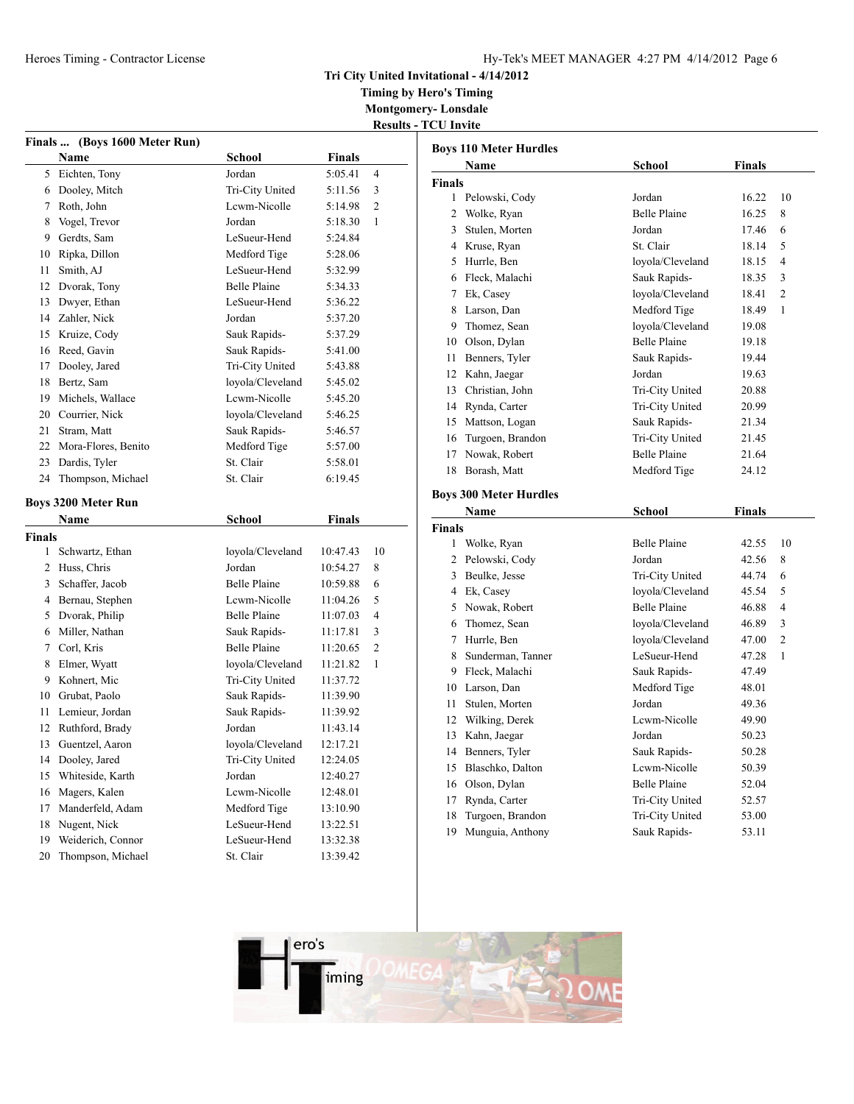## **Tri City United Invitational - 4/14/2012**

**Timing by Hero's Timing Montgomery- Lonsdale**

**Results - TCU Invite**

|                | Finals  (Boys 1600 Meter Run) |                     |               |    |
|----------------|-------------------------------|---------------------|---------------|----|
|                | Name                          | <b>School</b>       | <b>Finals</b> |    |
| 5              | Eichten, Tony                 | Jordan              | 5:05.41       | 4  |
| 6              | Dooley, Mitch                 | Tri-City United     | 5:11.56       | 3  |
| 7              | Roth, John                    | Lcwm-Nicolle        | 5:14.98       | 2  |
| 8              | Vogel, Trevor                 | Jordan              | 5:18.30       | 1  |
| 9              | Gerdts, Sam                   | LeSueur-Hend        | 5:24.84       |    |
| 10             | Ripka, Dillon                 | Medford Tige        | 5:28.06       |    |
| 11             | Smith, AJ                     | LeSueur-Hend        | 5:32.99       |    |
| 12             | Dvorak, Tony                  | <b>Belle Plaine</b> | 5:34.33       |    |
| 13             | Dwyer, Ethan                  | LeSueur-Hend        | 5:36.22       |    |
| 14             | Zahler, Nick                  | Jordan              | 5:37.20       |    |
| 15             | Kruize, Cody                  | Sauk Rapids-        | 5:37.29       |    |
| 16             | Reed, Gavin                   | Sauk Rapids-        | 5:41.00       |    |
| 17             | Dooley, Jared                 | Tri-City United     | 5:43.88       |    |
| 18             | Bertz, Sam                    | loyola/Cleveland    | 5:45.02       |    |
| 19             | Michels, Wallace              | Lewm-Nicolle        | 5:45.20       |    |
|                | 20 Courrier, Nick             | loyola/Cleveland    | 5:46.25       |    |
| 21             | Stram, Matt                   | Sauk Rapids-        | 5:46.57       |    |
| 22             | Mora-Flores, Benito           | Medford Tige        | 5:57.00       |    |
| 23             | Dardis, Tyler                 | St. Clair           | 5:58.01       |    |
| 24             | Thompson, Michael             | St. Clair           | 6:19.45       |    |
|                | <b>Boys 3200 Meter Run</b>    |                     |               |    |
|                | <b>Name</b>                   | <b>School</b>       | <b>Finals</b> |    |
| Finals         |                               |                     |               |    |
| 1              | Schwartz, Ethan               | loyola/Cleveland    | 10:47.43      | 10 |
| $\overline{c}$ | Huss, Chris                   | Jordan              | 10:54.27      | 8  |
| 3              | Schaffer, Jacob               | <b>Belle Plaine</b> | 10:59.88      | 6  |
| 4              | Bernau, Stephen               | Lcwm-Nicolle        | 11:04.26      | 5  |
| 5              | Dvorak, Philip                | <b>Belle Plaine</b> | 11:07.03      | 4  |
| 6              | Miller, Nathan                | Sauk Rapids-        | 11:17.81      | 3  |
| 7              | Corl, Kris                    | <b>Belle Plaine</b> | 11:20.65      | 2  |
| 8              | Elmer, Wyatt                  | loyola/Cleveland    | 11:21.82      | 1  |
| 9              | Kohnert, Mic                  | Tri-City United     | 11:37.72      |    |
|                | 10 Grubat, Paolo              | Sauk Rapids-        | 11:39.90      |    |
| 11             | Lemieur, Jordan               | Sauk Rapids-        | 11:39.92      |    |
| 12             | Ruthford, Brady               | Jordan              | 11:43.14      |    |
| 13             | Guentzel, Aaron               | loyola/Cleveland    | 12:17.21      |    |
| 14             | Dooley, Jared                 | Tri-City United     | 12:24.05      |    |
| 15             | Whiteside, Karth              | Jordan              | 12:40.27      |    |
| 16             | Magers, Kalen                 | Lcwm-Nicolle        | 12:48.01      |    |
| 17             | Manderfeld, Adam              | Medford Tige        | 13:10.90      |    |
| 18             |                               |                     |               |    |
|                | Nugent, Nick                  | LeSueur-Hend        | 13:22.51      |    |
| 19             | Weiderich, Connor             | LeSueur-Hend        | 13:32.38      |    |

|               | <b>Boys 110 Meter Hurdles</b> |                                  |        |                               |
|---------------|-------------------------------|----------------------------------|--------|-------------------------------|
|               | Name                          | School                           | Finals |                               |
| <b>Finals</b> |                               |                                  |        |                               |
| 1             | Pelowski, Cody                | Jordan                           | 16.22  | 10                            |
| 2             | Wolke, Ryan                   | <b>Belle Plaine</b>              | 16.25  | 8                             |
| 3             | Stulen, Morten                | Jordan                           | 17.46  | 6                             |
|               | 4 Kruse, Ryan                 | St. Clair                        | 18.14  | 5                             |
|               | 5 Hurrle, Ben                 | loyola/Cleveland                 | 18.15  | $\overline{\mathcal{L}}$      |
|               | 6 Fleck, Malachi              | Sauk Rapids-                     | 18.35  | 3                             |
|               | 7 Ek, Casey                   | loyola/Cleveland                 | 18.41  | $\overline{2}$                |
|               | 8 Larson, Dan                 | Medford Tige                     | 18.49  | 1                             |
|               | 9 Thomez, Sean                | loyola/Cleveland                 | 19.08  |                               |
|               | 10 Olson, Dylan               | <b>Belle Plaine</b>              | 19.18  |                               |
| 11            | Benners, Tyler                | Sauk Rapids-                     | 19.44  |                               |
|               | 12 Kahn, Jaegar               | Jordan                           | 19.63  |                               |
|               | 13 Christian, John            | Tri-City United                  | 20.88  |                               |
|               | 14 Rynda, Carter              | Tri-City United                  | 20.99  |                               |
|               | 15 Mattson, Logan             | Sauk Rapids-                     | 21.34  |                               |
|               | 16 Turgoen, Brandon           | Tri-City United                  | 21.45  |                               |
| 17            | Nowak, Robert                 | <b>Belle Plaine</b>              | 21.64  |                               |
| 18            | Borash, Matt                  | Medford Tige                     | 24.12  |                               |
|               |                               |                                  |        |                               |
|               | <b>Boys 300 Meter Hurdles</b> |                                  |        |                               |
|               | Name                          | School                           | Finals |                               |
| <b>Finals</b> |                               |                                  |        |                               |
|               | 1 Wolke, Ryan                 | <b>Belle Plaine</b>              | 42.55  | 10                            |
|               | 2 Pelowski, Cody              | Jordan                           | 42.56  | 8                             |
|               | 3 Beulke, Jesse               | Tri-City United                  | 44.74  | 6                             |
|               | 4 Ek, Casey                   | loyola/Cleveland                 | 45.54  | 5<br>$\overline{\mathcal{L}}$ |
|               | 5 Nowak, Robert               | <b>Belle Plaine</b>              | 46.88  |                               |
|               | 6 Thomez, Sean                | loyola/Cleveland                 | 46.89  | 3<br>$\overline{c}$           |
| 7             | Hurrle, Ben                   | loyola/Cleveland<br>LeSueur-Hend | 47.00  |                               |
| 8             | Sunderman, Tanner             |                                  | 47.28  | 1                             |
|               | 9 Fleck, Malachi              | Sauk Rapids-                     | 47.49  |                               |
|               | 10 Larson, Dan                | Medford Tige                     | 48.01  |                               |
| 11            | Stulen, Morten                | Jordan<br>Lewm-Nicolle           | 49.36  |                               |
|               | 12 Wilking, Derek             |                                  | 49.90  |                               |
|               | 13 Kahn, Jaegar               | Jordan                           | 50.23  |                               |
|               | 14 Benners, Tyler             | Sauk Rapids-                     | 50.28  |                               |
|               | 15 Blaschko, Dalton           | Lewm-Nicolle                     | 50.39  |                               |
|               | 16 Olson, Dylan               | <b>Belle Plaine</b>              | 52.04  |                               |
| 17            | Rynda, Carter                 | Tri-City United                  | 52.57  |                               |
| 18            | Turgoen, Brandon              | Tri-City United                  | 53.00  |                               |
| 19            | Munguia, Anthony              | Sauk Rapids-                     | 53.11  |                               |

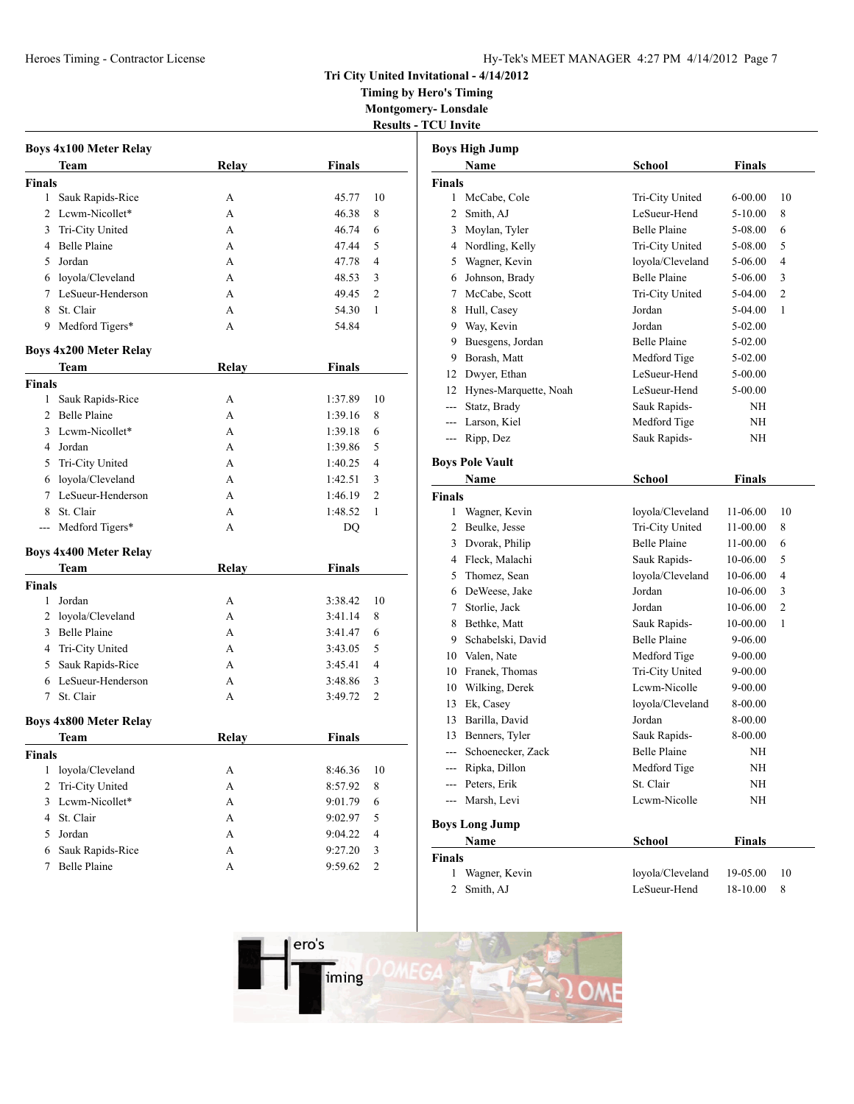## **Tri City United Invitational - 4/14/2012**

**Timing by Hero's Timing Montgomery- Lonsdale**

|                |                               |              |               | <b>Results - TCU Invite</b> |                                  |
|----------------|-------------------------------|--------------|---------------|-----------------------------|----------------------------------|
|                | <b>Boys 4x100 Meter Relay</b> |              |               |                             | <b>Boys High</b>                 |
|                | Team                          | <b>Relay</b> | <b>Finals</b> |                             | Na                               |
| <b>Finals</b>  |                               |              |               |                             | Finals                           |
| $\mathbf{1}$   | Sauk Rapids-Rice              | A            | 45.77         | 10                          | 1<br>Mc                          |
| $\overline{2}$ | Lewm-Nicollet*                | A            | 46.38         | 8                           | 2<br>Sm                          |
| 3              | Tri-City United               | A            | 46.74         | 6                           | 3<br>Mo                          |
| 4              | <b>Belle Plaine</b>           | A            | 47.44         | 5                           | $\overline{4}$<br>N <sub>o</sub> |
| 5              | Jordan                        | A            | 47.78         | 4                           | 5<br>Wa                          |
|                | 6 loyola/Cleveland            | A            | 48.53         | 3                           | 6<br>Joh                         |
| 7              | LeSueur-Henderson             | A            | 49.45         | 2                           | 7<br>Mc                          |
| 8              | St. Clair                     | A            | 54.30         | 1                           | 8<br>Hu                          |
| 9              | Medford Tigers*               | A            | 54.84         |                             | 9<br>Wa                          |
|                | <b>Boys 4x200 Meter Relay</b> |              |               |                             | 9<br>Bu                          |
|                | Team                          | <b>Relay</b> | <b>Finals</b> |                             | 9<br>Bor                         |
| <b>Finals</b>  |                               |              |               |                             | 12<br>Dw                         |
| $\mathbf{1}$   | Sauk Rapids-Rice              | A            | 1:37.89       | 10                          | Hy<br>12                         |
| 2              | <b>Belle Plaine</b>           | A            | 1:39.16       | 8                           | Sta                              |
| 3              | Lcwm-Nicollet*                | A            | 1:39.18       | 6                           | Lar                              |
| 4              | Jordan                        | A            | 1:39.86       | 5                           | --- Rip                          |
| 5              | Tri-City United               | A            | 1:40.25       | 4                           | <b>Boys Pole</b>                 |
| 6              | loyola/Cleveland              | A            | 1:42.51       | 3                           | Na                               |
| 7              | LeSueur-Henderson             | A            | 1:46.19       | 2                           | <b>Finals</b>                    |
| 8              | St. Clair                     | A            | 1:48.52       | 1                           | 1<br>Wa                          |
| ---            | Medford Tigers*               | A            | DQ            |                             | 2 Bet                            |
|                |                               |              |               |                             | $3$ Dv                           |
|                | <b>Boys 4x400 Meter Relay</b> |              |               |                             | 4<br>Fle                         |
|                | Team                          | <b>Relay</b> | <b>Finals</b> |                             | 5<br>Tho                         |
| <b>Finals</b>  |                               |              |               |                             | 6<br>De'                         |
| $\mathbf{1}$   | Jordan                        | A            | 3:38.42       | 10                          | 7<br>Sto                         |
| 2              | loyola/Cleveland              | A            | 3:41.14       | 8                           | 8<br><b>B</b> et                 |
| 3              | <b>Belle Plaine</b>           | A            | 3:41.47       | 6                           | 9<br>Sch                         |
| 4              | Tri-City United               | A            | 3:43.05       | 5                           | 10<br>Val                        |
| 5              | Sauk Rapids-Rice              | A            | 3:45.41       | 4                           | 10<br>Fra                        |
| 6              | LeSueur-Henderson             | A            | 3:48.86       | 3                           | 10<br>Wil                        |
| 7              | St. Clair                     | A            | 3:49.72       | 2                           | 13<br>Ek,                        |
|                | <b>Boys 4x800 Meter Relay</b> |              |               |                             | 13<br>Bar                        |
|                | <b>Team</b>                   | Relay        | <b>Finals</b> |                             | 13 Ber                           |
| <b>Finals</b>  |                               |              |               |                             | --- Sch                          |
|                | 1 loyola/Cleveland            | A            | 8:46.36       | 10                          | Rip                              |
| $\overline{2}$ | Tri-City United               | A            | 8:57.92       | 8                           | Pet                              |
| 3              | Lewm-Nicollet*                | A            | 9:01.79       | 6                           | --- Ma                           |
| 4              | St. Clair                     | A            | 9:02.97       | 5                           | <b>Boys Lon</b>                  |
| 5              | Jordan                        | A            | 9:04.22       | 4                           | <b>Na</b>                        |
| 6              | Sauk Rapids-Rice              | A            | 9:27.20       | 3                           | <b>Finals</b>                    |
| 7              | <b>Belle Plaine</b>           | A            | 9:59.62       | 2                           | 1 Wa                             |
|                |                               |              |               |                             |                                  |

|               | <b>Boys High Jump</b>               |                                        |                      |                |
|---------------|-------------------------------------|----------------------------------------|----------------------|----------------|
|               | Name                                | <b>School</b>                          | <b>Finals</b>        |                |
| Finals        |                                     |                                        |                      |                |
| 1             | McCabe, Cole                        | Tri-City United                        | $6 - 00.00$          | 10             |
| 2             | Smith, AJ                           | LeSueur-Hend                           | $5 - 10.00$          | 8              |
| 3             | Moylan, Tyler                       | <b>Belle Plaine</b>                    | 5-08.00              | 6              |
| 4             | Nordling, Kelly                     | Tri-City United                        | 5-08.00              | 5              |
| 5             | Wagner, Kevin                       | loyola/Cleveland                       | 5-06.00              | 4              |
| 6             | Johnson, Brady                      | <b>Belle Plaine</b>                    | 5-06.00              | 3              |
|               | 7 McCabe, Scott                     | Tri-City United                        | 5-04.00              | $\overline{2}$ |
| 8             | Hull, Casey                         | Jordan                                 | 5-04.00              | 1              |
|               | 9 Way, Kevin                        | Jordan                                 | 5-02.00              |                |
| 9             | Buesgens, Jordan                    | <b>Belle Plaine</b>                    | 5-02.00              |                |
| 9             | Borash, Matt                        | Medford Tige                           | 5-02.00              |                |
|               | 12 Dwyer, Ethan                     | LeSueur-Hend                           | 5-00.00              |                |
| 12            | Hynes-Marquette, Noah               | LeSueur-Hend                           | 5-00.00              |                |
| $---$         | Statz, Brady                        | Sauk Rapids-                           | NH                   |                |
| $---$         | Larson, Kiel                        | Medford Tige                           | NΗ                   |                |
| ---           | Ripp, Dez                           | Sauk Rapids-                           | NH                   |                |
|               |                                     |                                        |                      |                |
|               | <b>Boys Pole Vault</b>              |                                        |                      |                |
|               | Name                                | <b>School</b>                          | <b>Finals</b>        |                |
| <b>Finals</b> |                                     |                                        |                      |                |
| 1<br>2        | Wagner, Kevin<br>Beulke, Jesse      | loyola/Cleveland                       | 11-06.00             | 10             |
|               |                                     | Tri-City United<br><b>Belle Plaine</b> | 11-00.00             | 8              |
| 3             | Dvorak, Philip                      |                                        | 11-00.00             | 6              |
| 5             | 4 Fleck, Malachi<br>Thomez, Sean    | Sauk Rapids-<br>loyola/Cleveland       | 10-06.00<br>10-06.00 | 5<br>4         |
|               | 6 DeWeese, Jake                     | Jordan                                 | 10-06.00             | 3              |
| 7             | Storlie, Jack                       | Jordan                                 |                      | 2              |
| 8             | Bethke, Matt                        | Sauk Rapids-                           | 10-06.00<br>10-00.00 | 1              |
| 9             | Schabelski, David                   | <b>Belle Plaine</b>                    |                      |                |
| 10            | Valen, Nate                         |                                        | 9-06.00              |                |
|               |                                     | Medford Tige                           | 9-00.00              |                |
| 10            | Franek, Thomas<br>10 Wilking, Derek | Tri-City United<br>Lewm-Nicolle        | 9-00.00              |                |
| 13            | Ek, Casey                           | loyola/Cleveland                       | 9-00.00              |                |
| 13            | Barilla, David                      | Jordan                                 | 8-00.00<br>8-00.00   |                |
| 13            | Benners, Tyler                      | Sauk Rapids-                           | 8-00.00              |                |
|               | Schoenecker, Zack                   | <b>Belle Plaine</b>                    | NΗ                   |                |
|               | Ripka, Dillon                       | Medford Tige                           | NH                   |                |
|               | Peters, Erik                        | St. Clair                              | NH                   |                |
| ---           | Marsh, Levi                         | Lcwm-Nicolle                           | NΗ                   |                |
|               |                                     |                                        |                      |                |
|               | <b>Boys Long Jump</b>               |                                        |                      |                |
|               | Name                                | <b>School</b>                          | <b>Finals</b>        |                |
| Finals        |                                     |                                        |                      |                |
| 1             | Wagner, Kevin                       | loyola/Cleveland                       | 19-05.00             | 10             |
| 2             | Smith, AJ                           | LeSueur-Hend                           | 18-10.00             | 8              |

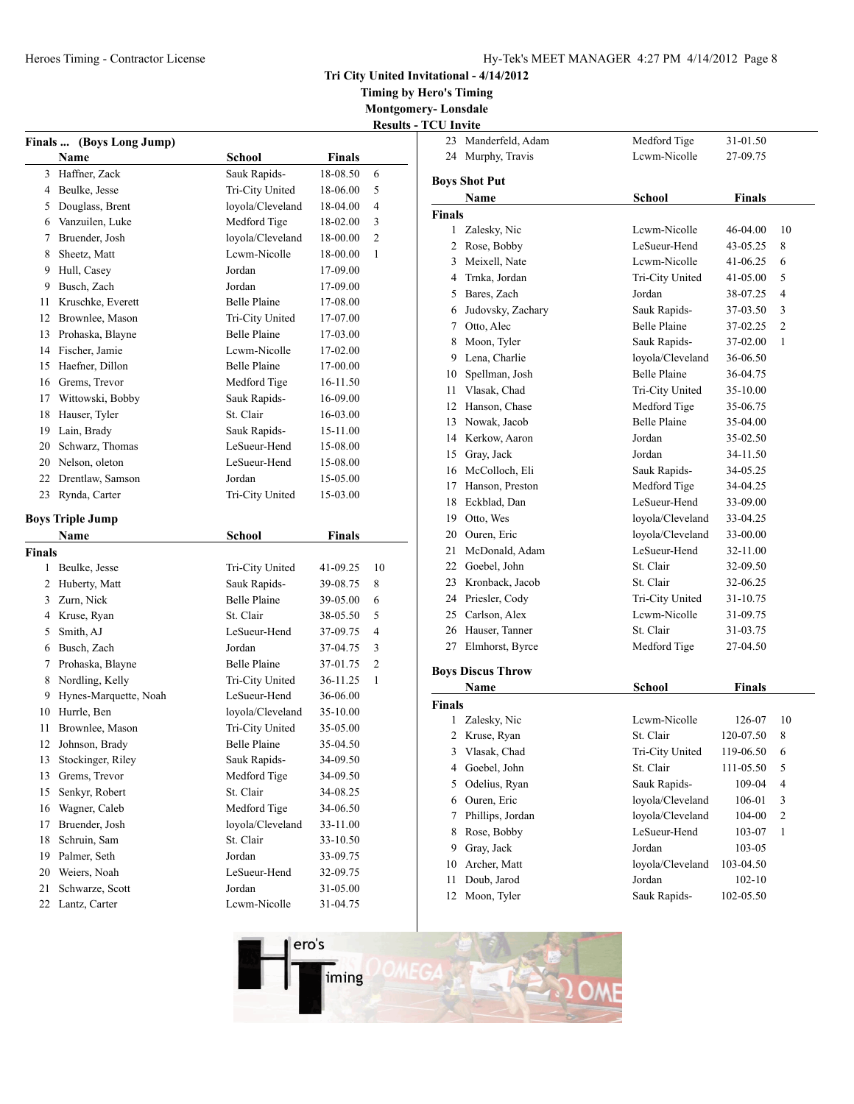**Tri City United Invitational - 4/14/2012**

**Timing by Hero's Timing**

**Montgomery- Lonsdale Results - TO** 

|                |                          |                     |               | resunt |
|----------------|--------------------------|---------------------|---------------|--------|
|                | Finals  (Boys Long Jump) |                     |               |        |
|                | Name                     | School              | <b>Finals</b> |        |
| 3              | Haffner, Zack            | Sauk Rapids-        | 18-08.50      | 6      |
| 4              | Beulke, Jesse            | Tri-City United     | 18-06.00      | 5      |
| 5              | Douglass, Brent          | loyola/Cleveland    | 18-04.00      | 4      |
| 6              | Vanzuilen, Luke          | Medford Tige        | 18-02.00      | 3      |
| 7              | Bruender, Josh           | loyola/Cleveland    | 18-00.00      | 2      |
| 8              | Sheetz, Matt             | Lewm-Nicolle        | 18-00.00      | 1      |
| 9              | Hull, Casey              | Jordan              | 17-09.00      |        |
| 9              | Busch, Zach              | Jordan              | 17-09.00      |        |
| 11             | Kruschke, Everett        | <b>Belle Plaine</b> | 17-08.00      |        |
| 12             | Brownlee, Mason          | Tri-City United     | 17-07.00      |        |
| 13             | Prohaska, Blayne         | <b>Belle Plaine</b> | 17-03.00      |        |
| 14             | Fischer, Jamie           | Lewm-Nicolle        | 17-02.00      |        |
| 15             | Haefner, Dillon          | <b>Belle Plaine</b> | 17-00.00      |        |
| 16             | Grems, Trevor            | Medford Tige        | 16-11.50      |        |
| 17             | Wittowski, Bobby         | Sauk Rapids-        | 16-09.00      |        |
| 18             | Hauser, Tyler            | St. Clair           | 16-03.00      |        |
| 19             | Lain, Brady              | Sauk Rapids-        | 15-11.00      |        |
| 20             | Schwarz, Thomas          | LeSueur-Hend        | 15-08.00      |        |
|                | 20 Nelson, oleton        | LeSueur-Hend        | 15-08.00      |        |
| 22             | Drentlaw, Samson         | Jordan              | 15-05.00      |        |
| 23             | Rynda, Carter            | Tri-City United     | 15-03.00      |        |
|                |                          |                     |               |        |
|                | <b>Boys Triple Jump</b>  |                     |               |        |
|                | Name                     | <b>School</b>       | <b>Finals</b> |        |
| Finals         |                          |                     |               |        |
| 1              | Beulke, Jesse            | Tri-City United     | 41-09.25      | 10     |
|                |                          |                     |               |        |
| $\overline{2}$ | Huberty, Matt            | Sauk Rapids-        | 39-08.75      | 8      |
| 3              | Zurn, Nick               | <b>Belle Plaine</b> | 39-05.00      | 6      |
| 4              | Kruse, Ryan              | St. Clair           | 38-05.50      | 5      |
| 5              | Smith, AJ                | LeSueur-Hend        | 37-09.75      | 4      |
| 6              | Busch, Zach              | Jordan              | 37-04.75      | 3      |
| 7              | Prohaska, Blayne         | Belle Plaine        | 37-01.75      | 2      |
| 8              | Nordling, Kelly          | Tri-City United     | 36-11.25      | 1      |
| 9              | Hynes-Marquette, Noah    | LeSueur-Hend        | 36-06.00      |        |
| 10             | Hurrle, Ben              | loyola/Cleveland    | 35-10.00      |        |
| 11             | Brownlee, Mason          | Tri-City United     | 35-05.00      |        |
| 12             | Johnson, Brady           | <b>Belle Plaine</b> | 35-04.50      |        |
| 13             | Stockinger, Riley        | Sauk Rapids-        | 34-09.50      |        |
| 13             | Grems, Trevor            | Medford Tige        | 34-09.50      |        |
| 15             | Senkyr, Robert           | St. Clair           | 34-08.25      |        |
| 16             | Wagner, Caleb            | Medford Tige        | 34-06.50      |        |
| 17             | Bruender, Josh           | loyola/Cleveland    | 33-11.00      |        |
| 18             | Schruin, Sam             | St. Clair           | 33-10.50      |        |
| 19             | Palmer, Seth             | Jordan              | 33-09.75      |        |
| 20             | Weiers, Noah             | LeSueur-Hend        | 32-09.75      |        |
| 21             | Schwarze, Scott          | Jordan              | 31-05.00      |        |

| <b>CU Invite</b> |                                  |                     |               |                |
|------------------|----------------------------------|---------------------|---------------|----------------|
| 23               | Manderfeld, Adam                 | Medford Tige        | 31-01.50      |                |
| 24               | Murphy, Travis                   | Lewm-Nicolle        | 27-09.75      |                |
|                  | <b>Boys Shot Put</b>             |                     |               |                |
|                  | Name                             | <b>School</b>       | Finals        |                |
| Finals           |                                  |                     |               |                |
| 1                | Zalesky, Nic                     | Lcwm-Nicolle        | 46-04.00      | 10             |
| $\overline{c}$   | Rose, Bobby                      | LeSueur-Hend        | 43-05.25      | 8              |
| 3                | Meixell, Nate                    | Lewm-Nicolle        | 41-06.25      | 6              |
| 4                | Trnka, Jordan                    | Tri-City United     | 41-05.00      | 5              |
| 5                | Bares, Zach                      | Jordan              | 38-07.25      | 4              |
| 6                | Judovsky, Zachary                | Sauk Rapids-        | 37-03.50      | 3              |
| 7                | Otto, Alec                       | <b>Belle Plaine</b> | 37-02.25      | $\overline{c}$ |
| 8                | Moon, Tyler                      | Sauk Rapids-        | 37-02.00      | 1              |
| 9                | Lena, Charlie                    | loyola/Cleveland    | 36-06.50      |                |
| 10               | Spellman, Josh                   | <b>Belle Plaine</b> | 36-04.75      |                |
| 11               | Vlasak, Chad                     | Tri-City United     | 35-10.00      |                |
| 12               | Hanson, Chase                    | Medford Tige        | 35-06.75      |                |
| 13               | Nowak, Jacob                     | <b>Belle Plaine</b> | 35-04.00      |                |
| 14               | Kerkow, Aaron                    | Jordan              | 35-02.50      |                |
| 15               | Gray, Jack                       | Jordan              | 34-11.50      |                |
| 16               | McColloch, Eli                   | Sauk Rapids-        | 34-05.25      |                |
| 17               | Hanson, Preston                  | Medford Tige        | 34-04.25      |                |
| 18               | Eckblad, Dan                     | LeSueur-Hend        | 33-09.00      |                |
| 19               | Otto, Wes                        | loyola/Cleveland    | 33-04.25      |                |
| 20               | Ouren, Eric                      | loyola/Cleveland    | 33-00.00      |                |
| 21               | McDonald, Adam                   | LeSueur-Hend        | 32-11.00      |                |
| 22               | Goebel, John                     | St. Clair           | 32-09.50      |                |
| 23               | Kronback, Jacob                  | St. Clair           | 32-06.25      |                |
|                  | 24 Priesler, Cody                | Tri-City United     | 31-10.75      |                |
| 25               | Carlson, Alex                    | Lewm-Nicolle        | 31-09.75      |                |
|                  | 26 Hauser, Tanner                | St. Clair           | 31-03.75      |                |
| 27               | Elmhorst, Byrce                  | Medford Tige        | 27-04.50      |                |
|                  |                                  |                     |               |                |
|                  | <b>Boys Discus Throw</b><br>Name | <b>School</b>       | <b>Finals</b> |                |
| Finals           |                                  |                     |               |                |
| 1                | Zalesky, Nic                     | Lcwm-Nicolle        | 126-07        | 10             |
| 2                | Kruse, Ryan                      | St. Clair           | 120-07.50     | 8              |
| 3                | Vlasak, Chad                     | Tri-City United     | 119-06.50     | 6              |
| 4                | Goebel, John                     | St. Clair           | 111-05.50     | 5              |
| 5                | Odelius, Ryan                    | Sauk Rapids-        | 109-04        | 4              |
| 6                | Ouren, Eric                      | loyola/Cleveland    | 106-01        | 3              |
| 7                | Phillips, Jordan                 | loyola/Cleveland    | 104-00        | $\overline{c}$ |
| 8                | Rose, Bobby                      | LeSueur-Hend        | 103-07        | 1              |
| 9                | Gray, Jack                       | Jordan              | 103-05        |                |
| 10               | Archer, Matt                     | loyola/Cleveland    | 103-04.50     |                |
| 11               | Doub, Jarod                      | Jordan              | 102-10        |                |
| 12               | Moon, Tyler                      | Sauk Rapids-        | 102-05.50     |                |
|                  |                                  |                     |               |                |